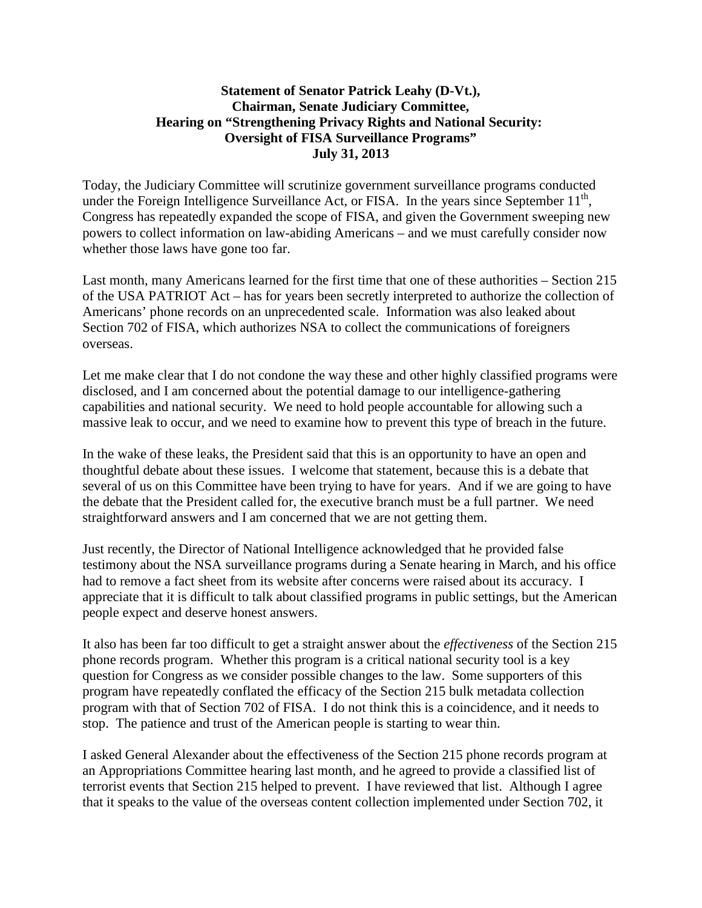## **Statement of Senator Patrick Leahy (D-Vt.), Chairman, Senate Judiciary Committee, Hearing on "Strengthening Privacy Rights and National Security: Oversight of FISA Surveillance Programs" July 31, 2013**

Today, the Judiciary Committee will scrutinize government surveillance programs conducted under the Foreign Intelligence Surveillance Act, or FISA. In the years since September  $11<sup>th</sup>$ , Congress has repeatedly expanded the scope of FISA, and given the Government sweeping new powers to collect information on law-abiding Americans – and we must carefully consider now whether those laws have gone too far.

Last month, many Americans learned for the first time that one of these authorities – Section 215 of the USA PATRIOT Act – has for years been secretly interpreted to authorize the collection of Americans' phone records on an unprecedented scale. Information was also leaked about Section 702 of FISA, which authorizes NSA to collect the communications of foreigners overseas.

Let me make clear that I do not condone the way these and other highly classified programs were disclosed, and I am concerned about the potential damage to our intelligence-gathering capabilities and national security. We need to hold people accountable for allowing such a massive leak to occur, and we need to examine how to prevent this type of breach in the future.

In the wake of these leaks, the President said that this is an opportunity to have an open and thoughtful debate about these issues. I welcome that statement, because this is a debate that several of us on this Committee have been trying to have for years. And if we are going to have the debate that the President called for, the executive branch must be a full partner. We need straightforward answers and I am concerned that we are not getting them.

Just recently, the Director of National Intelligence acknowledged that he provided false testimony about the NSA surveillance programs during a Senate hearing in March, and his office had to remove a fact sheet from its website after concerns were raised about its accuracy. I appreciate that it is difficult to talk about classified programs in public settings, but the American people expect and deserve honest answers.

It also has been far too difficult to get a straight answer about the *effectiveness* of the Section 215 phone records program. Whether this program is a critical national security tool is a key question for Congress as we consider possible changes to the law. Some supporters of this program have repeatedly conflated the efficacy of the Section 215 bulk metadata collection program with that of Section 702 of FISA. I do not think this is a coincidence, and it needs to stop. The patience and trust of the American people is starting to wear thin.

I asked General Alexander about the effectiveness of the Section 215 phone records program at an Appropriations Committee hearing last month, and he agreed to provide a classified list of terrorist events that Section 215 helped to prevent. I have reviewed that list. Although I agree that it speaks to the value of the overseas content collection implemented under Section 702, it